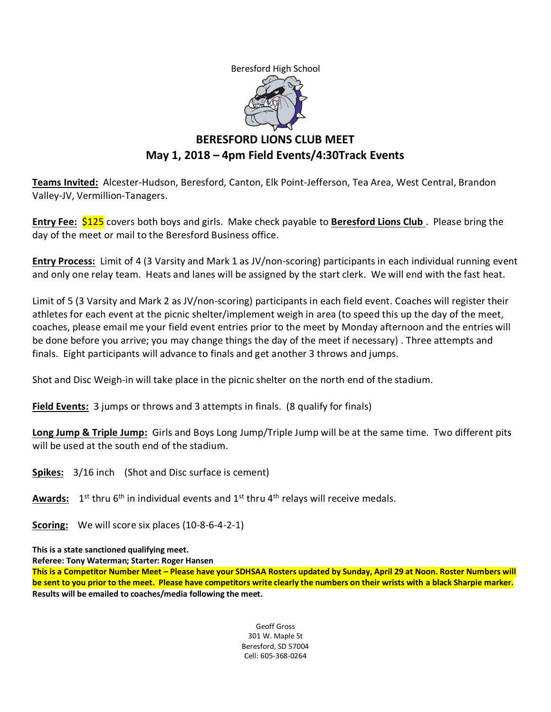Beresford High School



# **BERESFORD LIONS CLUB MEET May 1, 2018 – 4pm Field Events/4:30Track Events**

**Teams Invited:** Alcester-Hudson, Beresford, Canton, Elk Point-Jefferson, Tea Area, West Central, Brandon Valley-JV, Vermillion-Tanagers.

**Entry Fee:** \$125 covers both boys and girls. Make check payable to **Beresford Lions Club** . Please bring the day of the meet or mail to the Beresford Business office.

**Entry Process:** Limit of 4 (3 Varsity and Mark 1 as JV/non-scoring) participants in each individual running event and only one relay team. Heats and lanes will be assigned by the start clerk. We will end with the fast heat.

Limit of 5 (3 Varsity and Mark 2 as JV/non-scoring) participants in each field event. Coaches will register their athletes for each event at the picnic shelter/implement weigh in area (to speed this up the day of the meet, coaches, please email me your field event entries prior to the meet by Monday afternoon and the entries will be done before you arrive; you may change things the day of the meet if necessary) . Three attempts and finals. Eight participants will advance to finals and get another 3 throws and jumps.

Shot and Disc Weigh-in will take place in the picnic shelter on the north end of the stadium.

**Field Events:** 3 jumps or throws and 3 attempts in finals. (8 qualify for finals)

**Long Jump & Triple Jump:** Girls and Boys Long Jump/Triple Jump will be at the same time. Two different pits will be used at the south end of the stadium.

**Spikes:** 3/16 inch (Shot and Disc surface is cement)

Awards: 1<sup>st</sup> thru 6<sup>th</sup> in individual events and 1<sup>st</sup> thru 4<sup>th</sup> relays will receive medals.

**Scoring:** We will score six places (10-8-6-4-2-1)

**This is a state sanctioned qualifying meet.**

**Referee: Tony Waterman; Starter: Roger Hansen** 

**This is a Competitor Number Meet – Please have your SDHSAA Rosters updated by Sunday, April 29 at Noon. Roster Numbers will be sent to you prior to the meet. Please have competitors write clearly the numbers on their wrists with a black Sharpie marker. Results will be emailed to coaches/media following the meet.**

> Geoff Gross 301 W. Maple St Beresford, SD 57004 Cell: 605-368-0264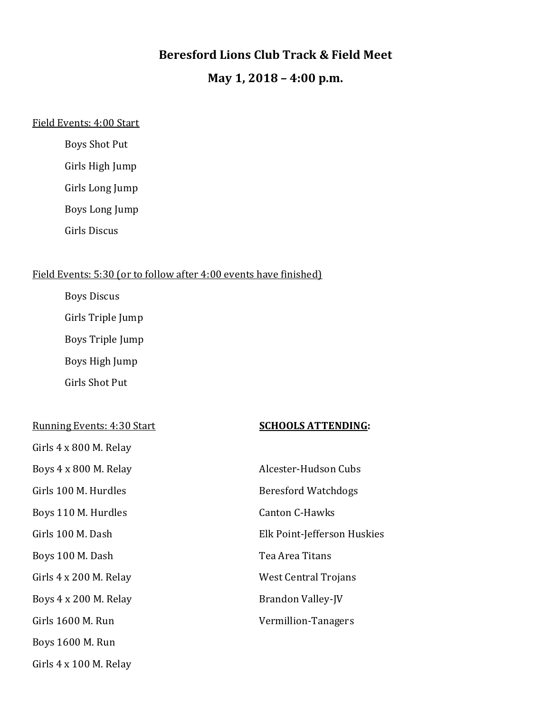## **Beresford Lions Club Track & Field Meet**

# **May 1, 2018 – 4:00 p.m.**

### Field Events: 4:00 Start

Boys Shot Put

Girls High Jump

Girls Long Jump

Boys Long Jump

Girls Discus

## Field Events: 5:30 (or to follow after 4:00 events have finished)

Boys Discus

Girls Triple Jump

Boys Triple Jump

Boys High Jump

Girls Shot Put

#### Running Events: 4:30 Start **SCHOOLS ATTENDING:**

| Girls 4 x 800 M. Relay        |                        |
|-------------------------------|------------------------|
| Boys 4 x 800 M. Relay         | Alcester-Hudson        |
| Girls 100 M. Hurdles          | <b>Beresford Watch</b> |
| Boys 110 M. Hurdles           | <b>Canton C-Hawks</b>  |
| Girls 100 M. Dash             | Elk Point-Jeffers      |
| Boys 100 M. Dash              | Tea Area Titans        |
| Girls 4 x 200 M. Relay        | West Central Tro       |
| Boys 4 x 200 M. Relay         | Brandon Valley-        |
| Girls 1600 M. Run             | Vermillion-Tana        |
| Boys 1600 M. Run              |                        |
| Girls $4 \times 100$ M. Relay |                        |

| Boys 4 x 800 M. Relay  | Alcester-Hudson Cubs        |
|------------------------|-----------------------------|
| Girls 100 M. Hurdles   | Beresford Watchdogs         |
| Boys 110 M. Hurdles    | <b>Canton C-Hawks</b>       |
| Girls 100 M. Dash      | Elk Point-Jefferson Huskies |
| Boys 100 M. Dash       | Tea Area Titans             |
| Girls 4 x 200 M. Relay | West Central Trojans        |
| Boys 4 x 200 M. Relay  | Brandon Valley-JV           |
| Girls 1600 M. Run      | Vermillion-Tanagers         |
|                        |                             |